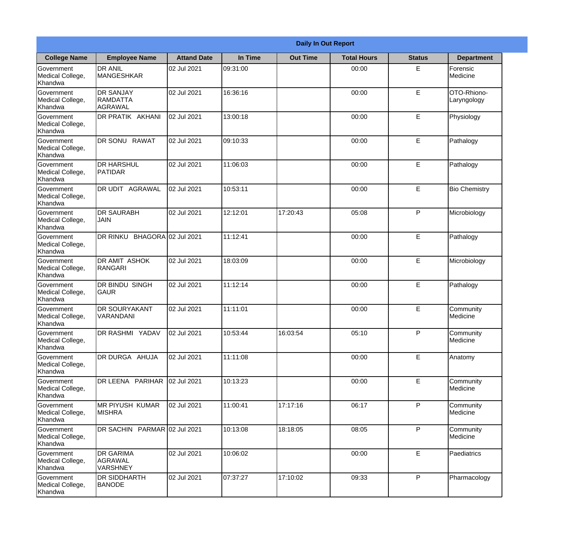|                                                  |                                                |                    |          | <b>Daily In Out Report</b> |                    |               |                            |
|--------------------------------------------------|------------------------------------------------|--------------------|----------|----------------------------|--------------------|---------------|----------------------------|
| <b>College Name</b>                              | <b>Employee Name</b>                           | <b>Attand Date</b> | In Time  | <b>Out Time</b>            | <b>Total Hours</b> | <b>Status</b> | <b>Department</b>          |
| Government<br>Medical College,<br>Khandwa        | <b>DR ANIL</b><br><b>MANGESHKAR</b>            | 02 Jul 2021        | 09:31:00 |                            | 00:00              | E             | Forensic<br>Medicine       |
| Government<br>Medical College,<br>Khandwa        | <b>DR SANJAY</b><br>RAMDATTA<br>AGRAWAL        | 02 Jul 2021        | 16:36:16 |                            | 00:00              | E             | OTO-Rhiono-<br>Laryngology |
| <b>Government</b><br>Medical College,<br>Khandwa | DR PRATIK AKHANI                               | 02 Jul 2021        | 13:00:18 |                            | 00:00              | E             | Physiology                 |
| Government<br>Medical College,<br>Khandwa        | DR SONU RAWAT                                  | 02 Jul 2021        | 09:10:33 |                            | 00:00              | E             | Pathalogy                  |
| Government<br>Medical College,<br>Khandwa        | <b>DR HARSHUL</b><br>PATIDAR                   | 02 Jul 2021        | 11:06:03 |                            | 00:00              | E             | Pathalogy                  |
| Government<br>Medical College,<br>Khandwa        | DR UDIT AGRAWAL                                | 02 Jul 2021        | 10:53:11 |                            | 00:00              | E             | <b>Bio Chemistry</b>       |
| Government<br>Medical College,<br>Khandwa        | <b>DR SAURABH</b><br><b>JAIN</b>               | 02 Jul 2021        | 12:12:01 | 17:20:43                   | 05:08              | P             | Microbiology               |
| <b>Government</b><br>Medical College,<br>Khandwa | DR RINKU BHAGORA 02 Jul 2021                   |                    | 11:12:41 |                            | 00:00              | E             | Pathalogy                  |
| Government<br>Medical College,<br>Khandwa        | <b>DR AMIT ASHOK</b><br>RANGARI                | 02 Jul 2021        | 18:03:09 |                            | 00:00              | E             | Microbiology               |
| Government<br>Medical College,<br>Khandwa        | DR BINDU SINGH<br><b>GAUR</b>                  | 02 Jul 2021        | 11:12:14 |                            | 00:00              | E             | Pathalogy                  |
| Government<br>Medical College,<br>Khandwa        | <b>DR SOURYAKANT</b><br>VARANDANI              | 02 Jul 2021        | 11:11:01 |                            | 00:00              | E             | Community<br>Medicine      |
| Government<br>Medical College,<br>Khandwa        | <b>DR RASHMI YADAV</b>                         | 02 Jul 2021        | 10:53:44 | 16:03:54                   | 05:10              | P             | Community<br>Medicine      |
| Government<br>Medical College,<br>Khandwa        | DR DURGA AHUJA                                 | 02 Jul 2021        | 11:11:08 |                            | 00:00              | E             | Anatomy                    |
| Government<br>Medical College,<br>Khandwa        | DR LEENA PARIHAR                               | 02 Jul 2021        | 10:13:23 |                            | 00:00              | E             | Community<br>Medicine      |
| Government<br>Medical College,<br>Khandwa        | IMR PIYUSH KUMAR<br><b>MISHRA</b>              | 02 Jul 2021        | 11:00:41 | 17:17:16                   | 06:17              | P             | Community<br>Medicine      |
| Government<br>Medical College,<br>Khandwa        | DR SACHIN PARMAR 02 Jul 2021                   |                    | 10:13:08 | 18:18:05                   | 08:05              | P             | Community<br>Medicine      |
| Government<br>Medical College,<br>Khandwa        | <b>DR GARIMA</b><br>AGRAWAL<br><b>VARSHNEY</b> | 02 Jul 2021        | 10:06:02 |                            | 00:00              | E             | Paediatrics                |
| Government<br>Medical College,<br>Khandwa        | DR SIDDHARTH<br><b>BANODE</b>                  | 02 Jul 2021        | 07:37:27 | 17:10:02                   | 09:33              | P             | Pharmacology               |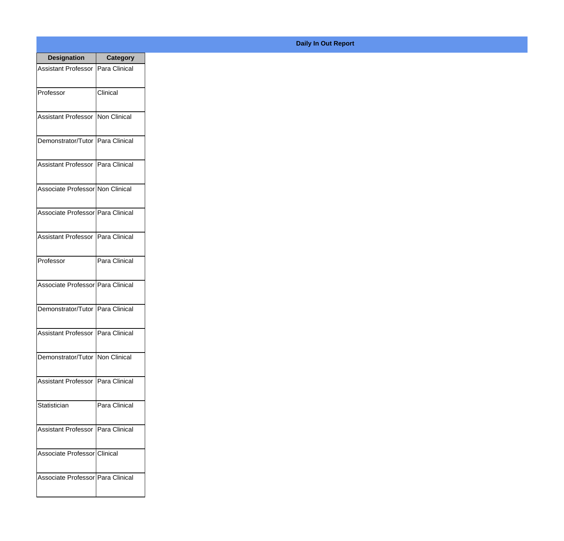| <b>Designation</b>                  | <b>Category</b> |
|-------------------------------------|-----------------|
| Assistant Professor   Para Clinical |                 |
| Professor                           | Clinical        |
| Assistant Professor   Non Clinical  |                 |
| Demonstrator/Tutor   Para Clinical  |                 |
| Assistant Professor   Para Clinical |                 |
| Associate Professor Non Clinical    |                 |
| Associate Professor Para Clinical   |                 |
| Assistant Professor   Para Clinical |                 |
| Professor                           | Para Clinical   |
| Associate Professor Para Clinical   |                 |
| Demonstrator/Tutor   Para Clinical  |                 |
| Assistant Professor   Para Clinical |                 |
| Demonstrator/Tutor   Non Clinical   |                 |
| Assistant Professor Para Clinical   |                 |
| Statistician                        | Para Clinical   |
| <b>Assistant Professor</b>          | Para Clinical   |
| Associate Professor Clinical        |                 |
| Associate Professor Para Clinical   |                 |

## **Daily In Out Report**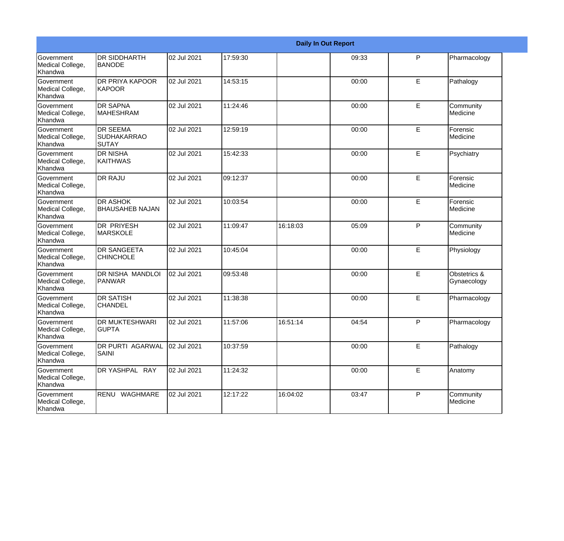|                                           |                                                       |             |          |          | <b>Daily In Out Report</b> |   |                             |
|-------------------------------------------|-------------------------------------------------------|-------------|----------|----------|----------------------------|---|-----------------------------|
| Government<br>Medical College,<br>Khandwa | <b>DR SIDDHARTH</b><br><b>BANODE</b>                  | 02 Jul 2021 | 17:59:30 |          | 09:33                      | P | Pharmacology                |
| Government<br>Medical College,<br>Khandwa | <b>DR PRIYA KAPOOR</b><br>KAPOOR                      | 02 Jul 2021 | 14:53:15 |          | 00:00                      | E | Pathalogy                   |
| Government<br>Medical College,<br>Khandwa | <b>DR SAPNA</b><br><b>MAHESHRAM</b>                   | 02 Jul 2021 | 11:24:46 |          | 00:00                      | E | Community<br>Medicine       |
| Government<br>Medical College,<br>Khandwa | <b>DR SEEMA</b><br><b>SUDHAKARRAO</b><br><b>SUTAY</b> | 02 Jul 2021 | 12:59:19 |          | 00:00                      | E | Forensic<br>Medicine        |
| Government<br>Medical College,<br>Khandwa | <b>DR NISHA</b><br>KAITHWAS                           | 02 Jul 2021 | 15:42:33 |          | 00:00                      | E | Psychiatry                  |
| Government<br>Medical College,<br>Khandwa | <b>DR RAJU</b>                                        | 02 Jul 2021 | 09:12:37 |          | 00:00                      | E | Forensic<br>Medicine        |
| Government<br>Medical College,<br>Khandwa | <b>DR ASHOK</b><br><b>BHAUSAHEB NAJAN</b>             | 02 Jul 2021 | 10:03:54 |          | 00:00                      | E | Forensic<br>Medicine        |
| Government<br>Medical College,<br>Khandwa | <b>DR PRIYESH</b><br><b>MARSKOLE</b>                  | 02 Jul 2021 | 11:09:47 | 16:18:03 | 05:09                      | P | Community<br>Medicine       |
| Government<br>Medical College,<br>Khandwa | <b>DR SANGEETA</b><br><b>CHINCHOLE</b>                | 02 Jul 2021 | 10:45:04 |          | 00:00                      | E | Physiology                  |
| Government<br>Medical College,<br>Khandwa | <b>DR NISHA MANDLOI</b><br>PANWAR                     | 02 Jul 2021 | 09:53:48 |          | 00:00                      | E | Obstetrics &<br>Gynaecology |
| Government<br>Medical College,<br>Khandwa | <b>DR SATISH</b><br><b>CHANDEL</b>                    | 02 Jul 2021 | 11:38:38 |          | 00:00                      | E | Pharmacology                |
| Government<br>Medical College,<br>Khandwa | <b>DR MUKTESHWARI</b><br>IGUPTA                       | 02 Jul 2021 | 11:57:06 | 16:51:14 | 04:54                      | P | Pharmacology                |
| Government<br>Medical College,<br>Khandwa | DR PURTI AGARWAL<br><b>SAINI</b>                      | 02 Jul 2021 | 10:37:59 |          | 00:00                      | E | Pathalogy                   |
| Government<br>Medical College,<br>Khandwa | DR YASHPAL RAY                                        | 02 Jul 2021 | 11:24:32 |          | 00:00                      | E | Anatomy                     |
| Government<br>Medical College,<br>Khandwa | RENU WAGHMARE                                         | 02 Jul 2021 | 12:17:22 | 16:04:02 | 03:47                      | P | Community<br>Medicine       |